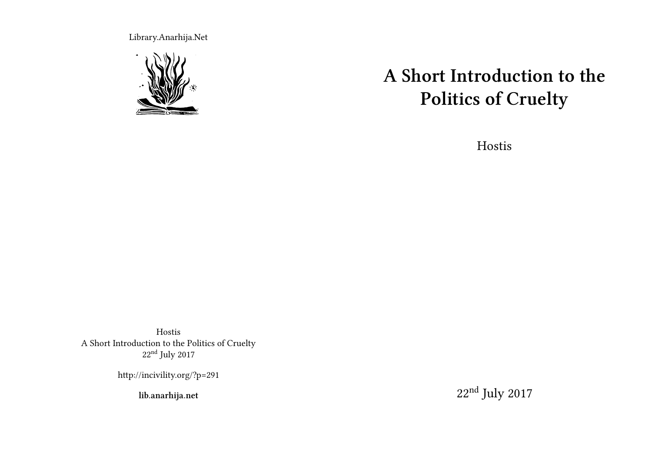Library.Anarhija.Net



# **A Short Introduction to the Politics of Cruelty**

Hostis

Hostis A Short Introduction to the Politics of Cruelty 22nd July 2017

http://incivility.org/?p=291

**lib.anarhija.net**

22nd July 2017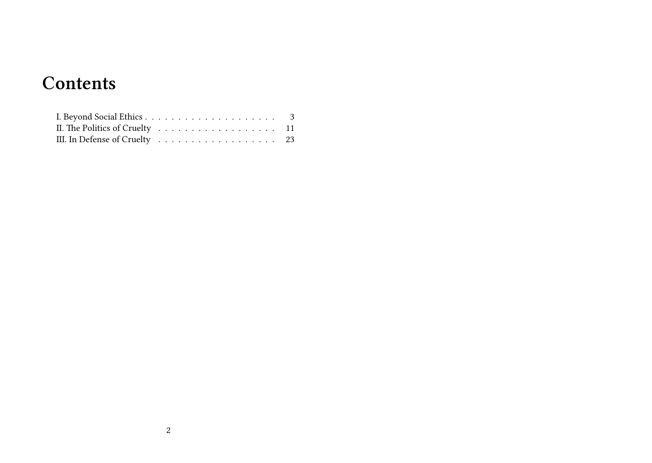## **Contents**

| II. The Politics of Cruelty $\ldots \ldots \ldots \ldots \ldots \ldots \ldots \ldots$ 11 |  |  |  |  |  |  |  |  |  |
|------------------------------------------------------------------------------------------|--|--|--|--|--|--|--|--|--|
| III. In Defense of Cruelty 23                                                            |  |  |  |  |  |  |  |  |  |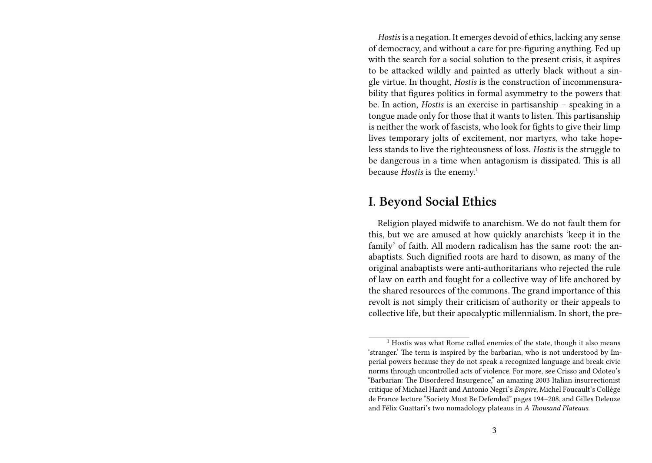*Hostis* is a negation. It emerges devoid of ethics, lacking any sense of democracy, and without a care for pre-figuring anything. Fed up with the search for a social solution to the present crisis, it aspires to be attacked wildly and painted as utterly black without a single virtue. In thought, *Hostis* is the construction of incommensurability that figures politics in formal asymmetry to the powers that be. In action, *Hostis* is an exercise in partisanship – speaking in a tongue made only for those that it wants to listen. This partisanship is neither the work of fascists, who look for fights to give their limp lives temporary jolts of excitement, nor martyrs, who take hopeless stands to live the righteousness of loss. *Hostis* is the struggle to be dangerous in a time when antagonism is dissipated. This is all because *Hostis* is the enemy.<sup>1</sup>

#### **I. Beyond Social Ethics**

Religion played midwife to anarchism. We do not fault them for this, but we are amused at how quickly anarchists 'keep it in the family' of faith. All modern radicalism has the same root: the anabaptists. Such dignified roots are hard to disown, as many of the original anabaptists were anti-authoritarians who rejected the rule of law on earth and fought for a collective way of life anchored by the shared resources of the commons. The grand importance of this revolt is not simply their criticism of authority or their appeals to collective life, but their apocalyptic millennialism. In short, the pre-

<sup>&</sup>lt;sup>1</sup> Hostis was what Rome called enemies of the state, though it also means 'stranger.' The term is inspired by the barbarian, who is not understood by Imperial powers because they do not speak a recognized language and break civic norms through uncontrolled acts of violence. For more, see Crisso and Odoteo's "Barbarian: The Disordered Insurgence," an amazing 2003 Italian insurrectionist critique of Michael Hardt and Antonio Negri's *Empire*, Michel Foucault's Collège de France lecture "Society Must Be Defended" pages 194–208, and Gilles Deleuze and Félix Guattari's two nomadology plateaus in *A Thousand Plateaus*.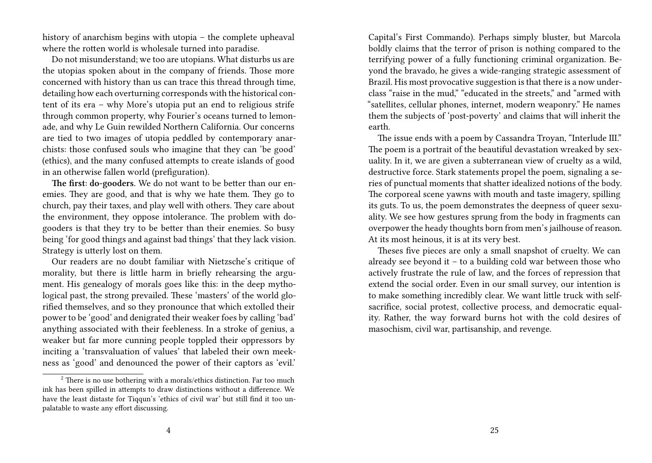history of anarchism begins with utopia – the complete upheaval where the rotten world is wholesale turned into paradise.

Do not misunderstand; we too are utopians. What disturbs us are the utopias spoken about in the company of friends. Those more concerned with history than us can trace this thread through time, detailing how each overturning corresponds with the historical content of its era – why More's utopia put an end to religious strife through common property, why Fourier's oceans turned to lemonade, and why Le Guin rewilded Northern California. Our concerns are tied to two images of utopia peddled by contemporary anarchists: those confused souls who imagine that they can 'be good' (ethics), and the many confused attempts to create islands of good in an otherwise fallen world (prefiguration).

**The first: do-gooders.** We do not want to be better than our enemies. They are good, and that is why we hate them. They go to church, pay their taxes, and play well with others. They care about the environment, they oppose intolerance. The problem with dogooders is that they try to be better than their enemies. So busy being 'for good things and against bad things' that they lack vision. Strategy is utterly lost on them.

Our readers are no doubt familiar with Nietzsche's critique of morality, but there is little harm in briefly rehearsing the argument. His genealogy of morals goes like this: in the deep mythological past, the strong prevailed. These 'masters' of the world glorified themselves, and so they pronounce that which extolled their power to be 'good' and denigrated their weaker foes by calling 'bad' anything associated with their feebleness. In a stroke of genius, a weaker but far more cunning people toppled their oppressors by inciting a 'transvaluation of values' that labeled their own meekness as 'good' and denounced the power of their captors as 'evil.'

Capital's First Commando). Perhaps simply bluster, but Marcola boldly claims that the terror of prison is nothing compared to the terrifying power of a fully functioning criminal organization. Beyond the bravado, he gives a wide-ranging strategic assessment of Brazil. His most provocative suggestion is that there is a now underclass "raise in the mud," "educated in the streets," and "armed with "satellites, cellular phones, internet, modern weaponry." He names them the subjects of 'post-poverty' and claims that will inherit the earth.

The issue ends with a poem by Cassandra Troyan, "Interlude III." The poem is a portrait of the beautiful devastation wreaked by sexuality. In it, we are given a subterranean view of cruelty as a wild, destructive force. Stark statements propel the poem, signaling a series of punctual moments that shatter idealized notions of the body. The corporeal scene yawns with mouth and taste imagery, spilling its guts. To us, the poem demonstrates the deepness of queer sexuality. We see how gestures sprung from the body in fragments can overpower the heady thoughts born from men's jailhouse of reason. At its most heinous, it is at its very best.

Theses five pieces are only a small snapshot of cruelty. We can already see beyond it – to a building cold war between those who actively frustrate the rule of law, and the forces of repression that extend the social order. Even in our small survey, our intention is to make something incredibly clear. We want little truck with selfsacrifice, social protest, collective process, and democratic equality. Rather, the way forward burns hot with the cold desires of masochism, civil war, partisanship, and revenge.

 $2$  There is no use bothering with a morals/ethics distinction. Far too much ink has been spilled in attempts to draw distinctions without a difference. We have the least distaste for Tiqqun's 'ethics of civil war' but still find it too unpalatable to waste any effort discussing.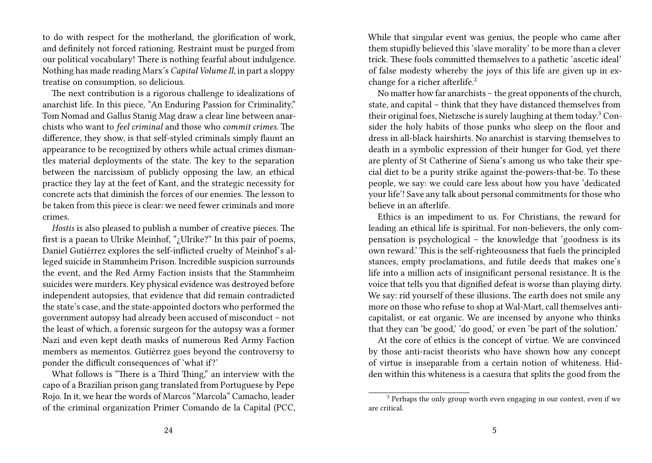to do with respect for the motherland, the glorification of work, and definitely not forced rationing. Restraint must be purged from our political vocabulary! There is nothing fearful about indulgence. Nothing has made reading Marx's *Capital Volume II*, in part a sloppy treatise on consumption, so delicious.

The next contribution is a rigorous challenge to idealizations of anarchist life. In this piece, "An Enduring Passion for Criminality," Tom Nomad and Gallus Stanig Mag draw a clear line between anarchists who want to *feel criminal* and those who *commit crimes*. The difference, they show, is that self-styled criminals simply flaunt an appearance to be recognized by others while actual crimes dismantles material deployments of the state. The key to the separation between the narcissism of publicly opposing the law, an ethical practice they lay at the feet of Kant, and the strategic necessity for concrete acts that diminish the forces of our enemies. The lesson to be taken from this piece is clear: we need fewer criminals and more crimes.

*Hostis* is also pleased to publish a number of creative pieces. The first is a paean to Ulrike Meinhof, "¿Ulrike?" In this pair of poems, Daniel Gutiérrez explores the self-inflicted cruelty of Meinhof's alleged suicide in Stammheim Prison. Incredible suspicion surrounds the event, and the Red Army Faction insists that the Stammheim suicides were murders. Key physical evidence was destroyed before independent autopsies, that evidence that did remain contradicted the state's case, and the state-appointed doctors who performed the government autopsy had already been accused of misconduct – not the least of which, a forensic surgeon for the autopsy was a former Nazi and even kept death masks of numerous Red Army Faction members as mementos. Gutiérrez goes beyond the controversy to ponder the difficult consequences of 'what if?'

What follows is "There is a Third Thing," an interview with the capo of a Brazilian prison gang translated from Portuguese by Pepe Rojo. In it, we hear the words of Marcos "Marcola" Camacho, leader of the criminal organization Primer Comando de la Capital (PCC, While that singular event was genius, the people who came after them stupidly believed this 'slave morality' to be more than a clever trick. These fools committed themselves to a pathetic 'ascetic ideal' of false modesty whereby the joys of this life are given up in exchange for a richer afterlife.<sup>2</sup>

No matter how far anarchists – the great opponents of the church, state, and capital – think that they have distanced themselves from their original foes, Nietzsche is surely laughing at them today.<sup>3</sup> Consider the holy habits of those punks who sleep on the floor and dress in all-black hairshirts. No anarchist is starving themselves to death in a symbolic expression of their hunger for God, yet there are plenty of St Catherine of Siena's among us who take their special diet to be a purity strike against the-powers-that-be. To these people, we say: we could care less about how you have 'dedicated your life'! Save any talk about personal commitments for those who believe in an afterlife.

Ethics is an impediment to us. For Christians, the reward for leading an ethical life is spiritual. For non-believers, the only compensation is psychological – the knowledge that 'goodness is its own reward.' This is the self-righteousness that fuels the principled stances, empty proclamations, and futile deeds that makes one's life into a million acts of insignificant personal resistance. It is the voice that tells you that dignified defeat is worse than playing dirty. We say: rid yourself of these illusions. The earth does not smile any more on those who refuse to shop at Wal-Mart, call themselves anticapitalist, or eat organic. We are incensed by anyone who thinks that they can 'be good,' 'do good,' or even 'be part of the solution.'

At the core of ethics is the concept of virtue. We are convinced by those anti-racist theorists who have shown how any concept of virtue is inseparable from a certain notion of whiteness. Hidden within this whiteness is a caesura that splits the good from the

<sup>&</sup>lt;sup>3</sup> Perhaps the only group worth even engaging in our context, even if we are critical.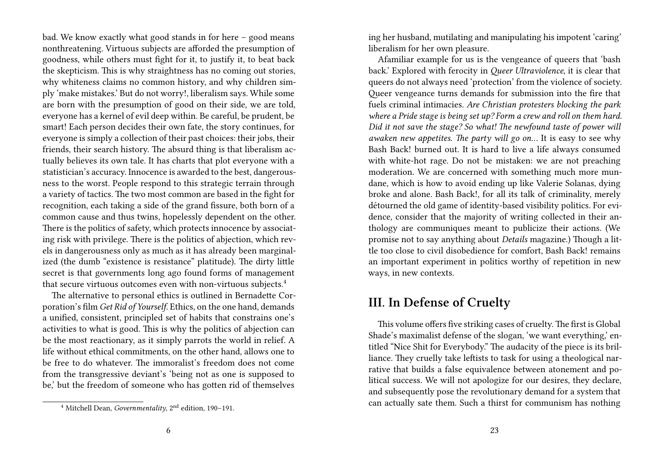bad. We know exactly what good stands in for here – good means nonthreatening. Virtuous subjects are afforded the presumption of goodness, while others must fight for it, to justify it, to beat back the skepticism. This is why straightness has no coming out stories, why whiteness claims no common history, and why children simply 'make mistakes.' But do not worry!, liberalism says. While some are born with the presumption of good on their side, we are told, everyone has a kernel of evil deep within. Be careful, be prudent, be smart! Each person decides their own fate, the story continues, for everyone is simply a collection of their past choices: their jobs, their friends, their search history. The absurd thing is that liberalism actually believes its own tale. It has charts that plot everyone with a statistician's accuracy. Innocence is awarded to the best, dangerousness to the worst. People respond to this strategic terrain through a variety of tactics. The two most common are based in the fight for recognition, each taking a side of the grand fissure, both born of a common cause and thus twins, hopelessly dependent on the other. There is the politics of safety, which protects innocence by associating risk with privilege. There is the politics of abjection, which revels in dangerousness only as much as it has already been marginalized (the dumb "existence is resistance" platitude). The dirty little secret is that governments long ago found forms of management that secure virtuous outcomes even with non-virtuous subjects.<sup>4</sup>

The alternative to personal ethics is outlined in Bernadette Corporation's film *Get Rid of Yourself.* Ethics, on the one hand, demands a unified, consistent, principled set of habits that constrains one's activities to what is good. This is why the politics of abjection can be the most reactionary, as it simply parrots the world in relief. A life without ethical commitments, on the other hand, allows one to be free to do whatever. The immoralist's freedom does not come from the transgressive deviant's 'being not as one is supposed to be,' but the freedom of someone who has gotten rid of themselves

ing her husband, mutilating and manipulating his impotent 'caring' liberalism for her own pleasure.

Afamiliar example for us is the vengeance of queers that 'bash back.' Explored with ferocity in *Queer Ultraviolence*, it is clear that queers do not always need 'protection' from the violence of society. Queer vengeance turns demands for submission into the fire that fuels criminal intimacies. *Are Christian protesters blocking the park where a Pride stage is being set up? Form a crew and roll on them hard. Did it not save the stage? So what! The newfound taste of power will awaken new appetites. The party will go on…* It is easy to see why Bash Back! burned out. It is hard to live a life always consumed with white-hot rage. Do not be mistaken: we are not preaching moderation. We are concerned with something much more mundane, which is how to avoid ending up like Valerie Solanas, dying broke and alone. Bash Back!, for all its talk of criminality, merely détourned the old game of identity-based visibility politics. For evidence, consider that the majority of writing collected in their anthology are communiques meant to publicize their actions. (We promise not to say anything about *Details* magazine.) Though a little too close to civil disobedience for comfort, Bash Back! remains an important experiment in politics worthy of repetition in new ways, in new contexts.

## **III. In Defense of Cruelty**

This volume offers five striking cases of cruelty. The first is Global Shade's maximalist defense of the slogan, 'we want everything,' entitled "Nice Shit for Everybody." The audacity of the piece is its brilliance. They cruelly take leftists to task for using a theological narrative that builds a false equivalence between atonement and political success. We will not apologize for our desires, they declare, and subsequently pose the revolutionary demand for a system that can actually sate them. Such a thirst for communism has nothing

<sup>4</sup> Mitchell Dean, *Governmentality*, 2nd edition, 190–191.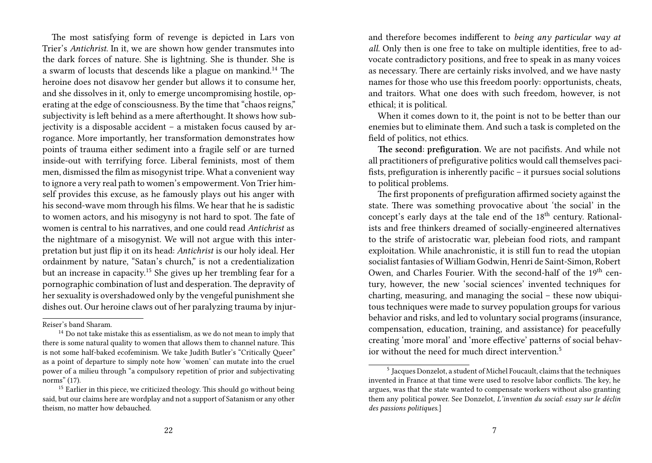The most satisfying form of revenge is depicted in Lars von Trier's *Antichrist*. In it, we are shown how gender transmutes into the dark forces of nature. She is lightning. She is thunder. She is a swarm of locusts that descends like a plague on mankind.<sup>14</sup> The heroine does not disavow her gender but allows it to consume her, and she dissolves in it, only to emerge uncompromising hostile, operating at the edge of consciousness. By the time that "chaos reigns," subjectivity is left behind as a mere afterthought. It shows how subjectivity is a disposable accident – a mistaken focus caused by arrogance. More importantly, her transformation demonstrates how points of trauma either sediment into a fragile self or are turned inside-out with terrifying force. Liberal feminists, most of them men, dismissed the film as misogynist tripe. What a convenient way to ignore a very real path to women's empowerment. Von Trier himself provides this excuse, as he famously plays out his anger with his second-wave mom through his films. We hear that he is sadistic to women actors, and his misogyny is not hard to spot. The fate of women is central to his narratives, and one could read *Antichrist* as the nightmare of a misogynist. We will not argue with this interpretation but just flip it on its head: *Antichrist* is our holy ideal. Her ordainment by nature, "Satan's church," is not a credentialization but an increase in capacity.<sup>15</sup> She gives up her trembling fear for a pornographic combination of lust and desperation. The depravity of her sexuality is overshadowed only by the vengeful punishment she dishes out. Our heroine claws out of her paralyzing trauma by injur-

and therefore becomes indifferent to *being any particular way at all*. Only then is one free to take on multiple identities, free to advocate contradictory positions, and free to speak in as many voices as necessary. There are certainly risks involved, and we have nasty names for those who use this freedom poorly: opportunists, cheats, and traitors. What one does with such freedom, however, is not ethical; it is political.

When it comes down to it, the point is not to be better than our enemies but to eliminate them. And such a task is completed on the field of politics, not ethics.

**The second: prefiguration.** We are not pacifists. And while not all practitioners of prefigurative politics would call themselves pacifists, prefiguration is inherently pacific – it pursues social solutions to political problems.

The first proponents of prefiguration affirmed society against the state. There was something provocative about 'the social' in the concept's early days at the tale end of the 18<sup>th</sup> century. Rationalists and free thinkers dreamed of socially-engineered alternatives to the strife of aristocratic war, plebeian food riots, and rampant exploitation. While anachronistic, it is still fun to read the utopian socialist fantasies of William Godwin, Henri de Saint-Simon, Robert Owen, and Charles Fourier. With the second-half of the 19<sup>th</sup> century, however, the new 'social sciences' invented techniques for charting, measuring, and managing the social – these now ubiquitous techniques were made to survey population groups for various behavior and risks, and led to voluntary social programs (insurance, compensation, education, training, and assistance) for peacefully creating 'more moral' and 'more effective' patterns of social behavior without the need for much direct intervention.<sup>5</sup>

Reiser's band Sharam.

<sup>&</sup>lt;sup>14</sup> Do not take mistake this as essentialism, as we do not mean to imply that there is some natural quality to women that allows them to channel nature. This is not some half-baked ecofeminism. We take Judith Butler's "Critically Queer" as a point of departure to simply note how 'women' can mutate into the cruel power of a milieu through "a compulsory repetition of prior and subjectivating norms" (17).

<sup>&</sup>lt;sup>15</sup> Earlier in this piece, we criticized theology. This should go without being said, but our claims here are wordplay and not a support of Satanism or any other theism, no matter how debauched.

<sup>5</sup> Jacques Donzelot, a student of Michel Foucault, claims that the techniques invented in France at that time were used to resolve labor conflicts. The key, he argues, was that the state wanted to compensate workers without also granting them any political power. See Donzelot, *L'invention du social: essay sur le déclin des passions politiques*.]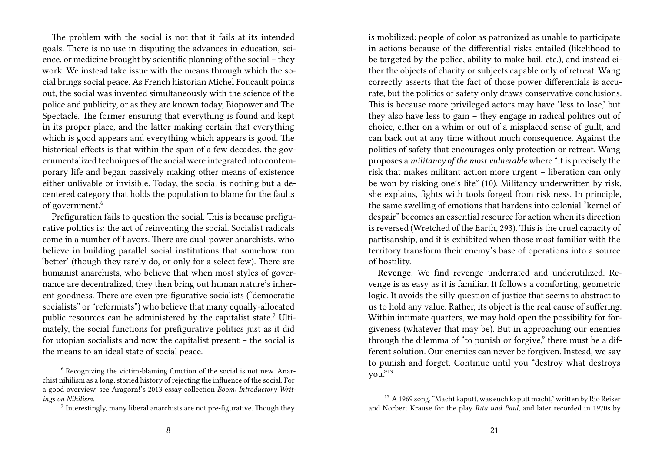The problem with the social is not that it fails at its intended goals. There is no use in disputing the advances in education, science, or medicine brought by scientific planning of the social – they work. We instead take issue with the means through which the social brings social peace. As French historian Michel Foucault points out, the social was invented simultaneously with the science of the police and publicity, or as they are known today, Biopower and The Spectacle. The former ensuring that everything is found and kept in its proper place, and the latter making certain that everything which is good appears and everything which appears is good. The historical effects is that within the span of a few decades, the governmentalized techniques of the social were integrated into contemporary life and began passively making other means of existence either unlivable or invisible. Today, the social is nothing but a decentered category that holds the population to blame for the faults of government.<sup>6</sup>

Prefiguration fails to question the social. This is because prefigurative politics is: the act of reinventing the social. Socialist radicals come in a number of flavors. There are dual-power anarchists, who believe in building parallel social institutions that somehow run 'better' (though they rarely do, or only for a select few). There are humanist anarchists, who believe that when most styles of governance are decentralized, they then bring out human nature's inherent goodness. There are even pre-figurative socialists ("democratic socialists" or "reformists") who believe that many equally-allocated public resources can be administered by the capitalist state.<sup>7</sup> Ultimately, the social functions for prefigurative politics just as it did for utopian socialists and now the capitalist present – the social is the means to an ideal state of social peace.

is mobilized: people of color as patronized as unable to participate in actions because of the differential risks entailed (likelihood to be targeted by the police, ability to make bail, etc.), and instead either the objects of charity or subjects capable only of retreat. Wang correctly asserts that the fact of those power differentials is accurate, but the politics of safety only draws conservative conclusions. This is because more privileged actors may have 'less to lose,' but they also have less to gain – they engage in radical politics out of choice, either on a whim or out of a misplaced sense of guilt, and can back out at any time without much consequence. Against the politics of safety that encourages only protection or retreat, Wang proposes a *militancy of the most vulnerable* where "it is precisely the risk that makes militant action more urgent – liberation can only be won by risking one's life" (10). Militancy underwritten by risk, she explains, fights with tools forged from riskiness. In principle, the same swelling of emotions that hardens into colonial "kernel of despair" becomes an essential resource for action when its direction is reversed (Wretched of the Earth, 293). This is the cruel capacity of partisanship, and it is exhibited when those most familiar with the territory transform their enemy's base of operations into a source of hostility.

**Revenge.** We find revenge underrated and underutilized. Revenge is as easy as it is familiar. It follows a comforting, geometric logic. It avoids the silly question of justice that seems to abstract to us to hold any value. Rather, its object is the real cause of suffering. Within intimate quarters, we may hold open the possibility for forgiveness (whatever that may be). But in approaching our enemies through the dilemma of "to punish or forgive," there must be a different solution. Our enemies can never be forgiven. Instead, we say to punish and forget. Continue until you "destroy what destroys you."<sup>13</sup>

<sup>6</sup> Recognizing the victim-blaming function of the social is not new. Anarchist nihilism as a long, storied history of rejecting the influence of the social. For a good overview, see Aragorn!'s 2013 essay collection *Boom: Introductory Writings on Nihilism*.

<sup>&</sup>lt;sup>7</sup> Interestingly, many liberal anarchists are not pre-figurative. Though they

<sup>&</sup>lt;sup>13</sup> A 1969 song, "Macht kaputt, was euch kaputt macht," written by Rio Reiser and Norbert Krause for the play *Rita und Paul*, and later recorded in 1970s by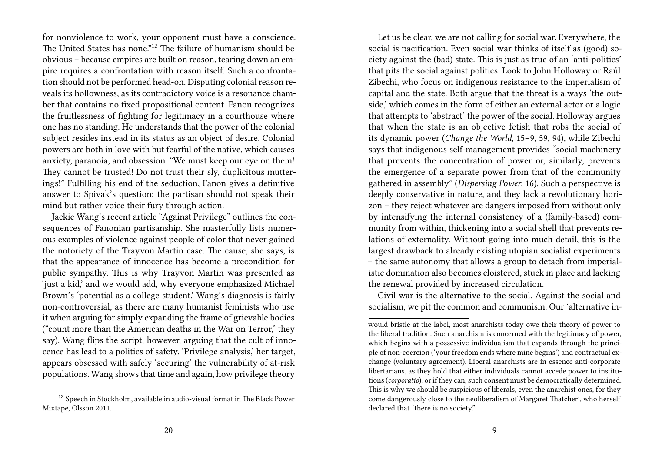for nonviolence to work, your opponent must have a conscience. The United States has none."<sup>12</sup> The failure of humanism should be obvious – because empires are built on reason, tearing down an empire requires a confrontation with reason itself. Such a confrontation should not be performed head-on. Disputing colonial reason reveals its hollowness, as its contradictory voice is a resonance chamber that contains no fixed propositional content. Fanon recognizes the fruitlessness of fighting for legitimacy in a courthouse where one has no standing. He understands that the power of the colonial subject resides instead in its status as an object of desire. Colonial powers are both in love with but fearful of the native, which causes anxiety, paranoia, and obsession. "We must keep our eye on them! They cannot be trusted! Do not trust their sly, duplicitous mutterings!" Fulfilling his end of the seduction, Fanon gives a definitive answer to Spivak's question: the partisan should not speak their mind but rather voice their fury through action.

Jackie Wang's recent article "Against Privilege" outlines the consequences of Fanonian partisanship. She masterfully lists numerous examples of violence against people of color that never gained the notoriety of the Trayvon Martin case. The cause, she says, is that the appearance of innocence has become a precondition for public sympathy. This is why Trayvon Martin was presented as 'just a kid,' and we would add, why everyone emphasized Michael Brown's 'potential as a college student.' Wang's diagnosis is fairly non-controversial, as there are many humanist feminists who use it when arguing for simply expanding the frame of grievable bodies ("count more than the American deaths in the War on Terror," they say). Wang flips the script, however, arguing that the cult of innocence has lead to a politics of safety. 'Privilege analysis,' her target, appears obsessed with safely 'securing' the vulnerability of at-risk populations. Wang shows that time and again, how privilege theory

Let us be clear, we are not calling for social war. Everywhere, the social is pacification. Even social war thinks of itself as (good) society against the (bad) state. This is just as true of an 'anti-politics' that pits the social against politics. Look to John Holloway or Raúl Zibechi, who focus on indigenous resistance to the imperialism of capital and the state. Both argue that the threat is always 'the outside,' which comes in the form of either an external actor or a logic that attempts to 'abstract' the power of the social. Holloway argues that when the state is an objective fetish that robs the social of its dynamic power (*Change the World*, 15–9, 59, 94), while Zibechi says that indigenous self-management provides "social machinery that prevents the concentration of power or, similarly, prevents the emergence of a separate power from that of the community gathered in assembly" (*Dispersing Power*, 16). Such a perspective is deeply conservative in nature, and they lack a revolutionary horizon – they reject whatever are dangers imposed from without only by intensifying the internal consistency of a (family-based) community from within, thickening into a social shell that prevents relations of externality. Without going into much detail, this is the largest drawback to already existing utopian socialist experiments – the same autonomy that allows a group to detach from imperialistic domination also becomes cloistered, stuck in place and lacking the renewal provided by increased circulation.

Civil war is the alternative to the social. Against the social and socialism, we pit the common and communism. Our 'alternative in-

<sup>&</sup>lt;sup>12</sup> Speech in Stockholm, available in audio-visual format in The Black Power Mixtape, Olsson 2011.

would bristle at the label, most anarchists today owe their theory of power to the liberal tradition. Such anarchism is concerned with the legitimacy of power, which begins with a possessive individualism that expands through the principle of non-coercion ('your freedom ends where mine begins') and contractual exchange (voluntary agreement). Liberal anarchists are in essence anti-corporate libertarians, as they hold that either individuals cannot accede power to institutions (*corporatio*), or if they can, such consent must be democratically determined. This is why we should be suspicious of liberals, even the anarchist ones, for they come dangerously close to the neoliberalism of Margaret Thatcher', who herself declared that "there is no society."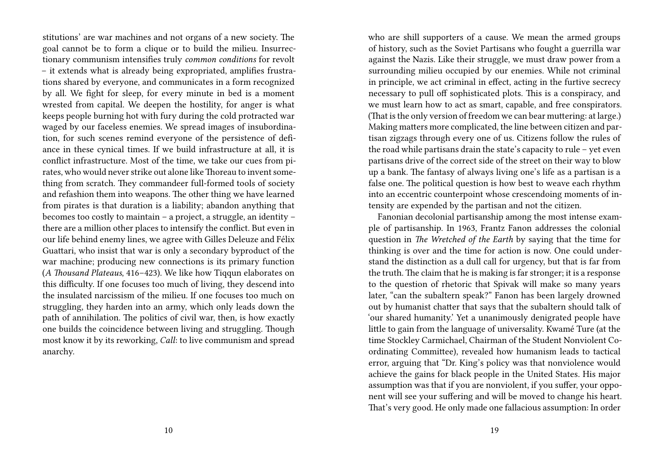stitutions' are war machines and not organs of a new society. The goal cannot be to form a clique or to build the milieu. Insurrectionary communism intensifies truly *common conditions* for revolt – it extends what is already being expropriated, amplifies frustrations shared by everyone, and communicates in a form recognized by all. We fight for sleep, for every minute in bed is a moment wrested from capital. We deepen the hostility, for anger is what keeps people burning hot with fury during the cold protracted war waged by our faceless enemies. We spread images of insubordination, for such scenes remind everyone of the persistence of defiance in these cynical times. If we build infrastructure at all, it is conflict infrastructure. Most of the time, we take our cues from pirates, who would never strike out alone like Thoreau to invent something from scratch. They commandeer full-formed tools of society and refashion them into weapons. The other thing we have learned from pirates is that duration is a liability; abandon anything that becomes too costly to maintain – a project, a struggle, an identity – there are a million other places to intensify the conflict. But even in our life behind enemy lines, we agree with Gilles Deleuze and Félix Guattari, who insist that war is only a secondary byproduct of the war machine; producing new connections is its primary function (*A Thousand Plateaus*, 416–423). We like how Tiqqun elaborates on this difficulty. If one focuses too much of living, they descend into the insulated narcissism of the milieu. If one focuses too much on struggling, they harden into an army, which only leads down the path of annihilation. The politics of civil war, then, is how exactly one builds the coincidence between living and struggling. Though most know it by its reworking, *Call*: to live communism and spread anarchy.

who are shill supporters of a cause. We mean the armed groups of history, such as the Soviet Partisans who fought a guerrilla war against the Nazis. Like their struggle, we must draw power from a surrounding milieu occupied by our enemies. While not criminal in principle, we act criminal in effect, acting in the furtive secrecy necessary to pull off sophisticated plots. This is a conspiracy, and we must learn how to act as smart, capable, and free conspirators. (That is the only version of freedom we can bear muttering: at large.) Making matters more complicated, the line between citizen and partisan zigzags through every one of us. Citizens follow the rules of the road while partisans drain the state's capacity to rule – yet even partisans drive of the correct side of the street on their way to blow up a bank. The fantasy of always living one's life as a partisan is a false one. The political question is how best to weave each rhythm into an eccentric counterpoint whose crescendoing moments of intensity are expended by the partisan and not the citizen.

Fanonian decolonial partisanship among the most intense example of partisanship. In 1963, Frantz Fanon addresses the colonial question in *The Wretched of the Earth* by saying that the time for thinking is over and the time for action is now. One could understand the distinction as a dull call for urgency, but that is far from the truth. The claim that he is making is far stronger; it is a response to the question of rhetoric that Spivak will make so many years later, "can the subaltern speak?" Fanon has been largely drowned out by humanist chatter that says that the subaltern should talk of 'our shared humanity.' Yet a unanimously denigrated people have little to gain from the language of universality. Kwamé Ture (at the time Stockley Carmichael, Chairman of the Student Nonviolent Coordinating Committee), revealed how humanism leads to tactical error, arguing that "Dr. King's policy was that nonviolence would achieve the gains for black people in the United States. His major assumption was that if you are nonviolent, if you suffer, your opponent will see your suffering and will be moved to change his heart. That's very good. He only made one fallacious assumption: In order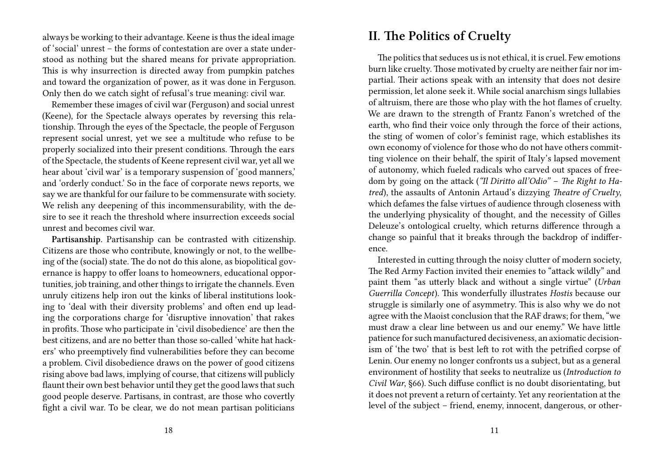always be working to their advantage. Keene is thus the ideal image of 'social' unrest – the forms of contestation are over a state understood as nothing but the shared means for private appropriation. This is why insurrection is directed away from pumpkin patches and toward the organization of power, as it was done in Ferguson. Only then do we catch sight of refusal's true meaning: civil war.

Remember these images of civil war (Ferguson) and social unrest (Keene), for the Spectacle always operates by reversing this relationship. Through the eyes of the Spectacle, the people of Ferguson represent social unrest, yet we see a multitude who refuse to be properly socialized into their present conditions. Through the ears of the Spectacle, the students of Keene represent civil war, yet all we hear about 'civil war' is a temporary suspension of 'good manners,' and 'orderly conduct.' So in the face of corporate news reports, we say we are thankful for our failure to be commensurate with society. We relish any deepening of this incommensurability, with the desire to see it reach the threshold where insurrection exceeds social unrest and becomes civil war.

**Partisanship.** Partisanship can be contrasted with citizenship. Citizens are those who contribute, knowingly or not, to the wellbeing of the (social) state. The do not do this alone, as biopolitical governance is happy to offer loans to homeowners, educational opportunities, job training, and other things to irrigate the channels. Even unruly citizens help iron out the kinks of liberal institutions looking to 'deal with their diversity problems' and often end up leading the corporations charge for 'disruptive innovation' that rakes in profits. Those who participate in 'civil disobedience' are then the best citizens, and are no better than those so-called 'white hat hackers' who preemptively find vulnerabilities before they can become a problem. Civil disobedience draws on the power of good citizens rising above bad laws, implying of course, that citizens will publicly flaunt their own best behavior until they get the good laws that such good people deserve. Partisans, in contrast, are those who covertly fight a civil war. To be clear, we do not mean partisan politicians

### **II. The Politics of Cruelty**

The politics that seduces us is not ethical, it is cruel. Few emotions burn like cruelty. Those motivated by cruelty are neither fair nor impartial. Their actions speak with an intensity that does not desire permission, let alone seek it. While social anarchism sings lullabies of altruism, there are those who play with the hot flames of cruelty. We are drawn to the strength of Frantz Fanon's wretched of the earth, who find their voice only through the force of their actions, the sting of women of color's feminist rage, which establishes its own economy of violence for those who do not have others committing violence on their behalf, the spirit of Italy's lapsed movement of autonomy, which fueled radicals who carved out spaces of freedom by going on the attack (*"Il Diritto all'Odio"* – *The Right to Hatred*), the assaults of Antonin Artaud's dizzying *Theatre of Cruelty*, which defames the false virtues of audience through closeness with the underlying physicality of thought, and the necessity of Gilles Deleuze's ontological cruelty, which returns difference through a change so painful that it breaks through the backdrop of indifference.

Interested in cutting through the noisy clutter of modern society, The Red Army Faction invited their enemies to "attack wildly" and paint them "as utterly black and without a single virtue" (*Urban Guerrilla Concept*). This wonderfully illustrates *Hostis* because our struggle is similarly one of asymmetry. This is also why we do not agree with the Maoist conclusion that the RAF draws; for them, "we must draw a clear line between us and our enemy." We have little patience for such manufactured decisiveness, an axiomatic decisionism of 'the two' that is best left to rot with the petrified corpse of Lenin. Our enemy no longer confronts us a subject, but as a general environment of hostility that seeks to neutralize us (*Introduction to Civil War*, §66). Such diffuse conflict is no doubt disorientating, but it does not prevent a return of certainty. Yet any reorientation at the level of the subject – friend, enemy, innocent, dangerous, or other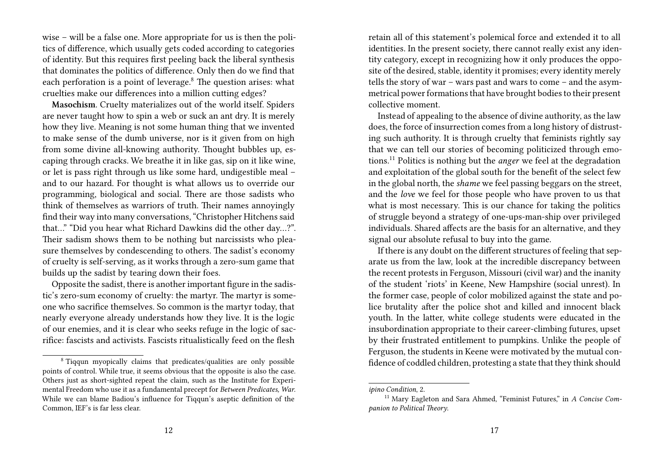wise – will be a false one. More appropriate for us is then the politics of difference, which usually gets coded according to categories of identity. But this requires first peeling back the liberal synthesis that dominates the politics of difference. Only then do we find that each perforation is a point of leverage.<sup>8</sup> The question arises: what cruelties make our differences into a million cutting edges?

**Masochism**. Cruelty materializes out of the world itself. Spiders are never taught how to spin a web or suck an ant dry. It is merely how they live. Meaning is not some human thing that we invented to make sense of the dumb universe, nor is it given from on high from some divine all-knowing authority. Thought bubbles up, escaping through cracks. We breathe it in like gas, sip on it like wine, or let is pass right through us like some hard, undigestible meal – and to our hazard. For thought is what allows us to override our programming, biological and social. There are those sadists who think of themselves as warriors of truth. Their names annoyingly find their way into many conversations, "Christopher Hitchens said that…" "Did you hear what Richard Dawkins did the other day…?". Their sadism shows them to be nothing but narcissists who pleasure themselves by condescending to others. The sadist's economy of cruelty is self-serving, as it works through a zero-sum game that builds up the sadist by tearing down their foes.

Opposite the sadist, there is another important figure in the sadistic's zero-sum economy of cruelty: the martyr. The martyr is someone who sacrifice themselves. So common is the martyr today, that nearly everyone already understands how they live. It is the logic of our enemies, and it is clear who seeks refuge in the logic of sacrifice: fascists and activists. Fascists ritualistically feed on the flesh

retain all of this statement's polemical force and extended it to all identities. In the present society, there cannot really exist any identity category, except in recognizing how it only produces the opposite of the desired, stable, identity it promises; every identity merely tells the story of war – wars past and wars to come – and the asymmetrical power formations that have brought bodies to their present collective moment.

Instead of appealing to the absence of divine authority, as the law does, the force of insurrection comes from a long history of distrusting such authority. It is through cruelty that feminists rightly say that we can tell our stories of becoming politicized through emotions.<sup>11</sup> Politics is nothing but the *anger* we feel at the degradation and exploitation of the global south for the benefit of the select few in the global north, the *shame* we feel passing beggars on the street, and the *love* we feel for those people who have proven to us that what is most necessary. This is our chance for taking the politics of struggle beyond a strategy of one-ups-man-ship over privileged individuals. Shared affects are the basis for an alternative, and they signal our absolute refusal to buy into the game.

If there is any doubt on the different structures of feeling that separate us from the law, look at the incredible discrepancy between the recent protests in Ferguson, Missouri (civil war) and the inanity of the student 'riots' in Keene, New Hampshire (social unrest). In the former case, people of color mobilized against the state and police brutality after the police shot and killed and innocent black youth. In the latter, white college students were educated in the insubordination appropriate to their career-climbing futures, upset by their frustrated entitlement to pumpkins. Unlike the people of Ferguson, the students in Keene were motivated by the mutual confidence of coddled children, protesting a state that they think should

<sup>8</sup> Tiqqun myopically claims that predicates/qualities are only possible points of control. While true, it seems obvious that the opposite is also the case. Others just as short-sighted repeat the claim, such as the Institute for Experimental Freedom who use it as a fundamental precept for *Between Predicates, War*. While we can blame Badiou's influence for Tiqqun's aseptic definition of the Common, IEF's is far less clear.

*ipino Condition*, 2.

<sup>11</sup> Mary Eagleton and Sara Ahmed, "Feminist Futures," in *A Concise Companion to Political Theory*.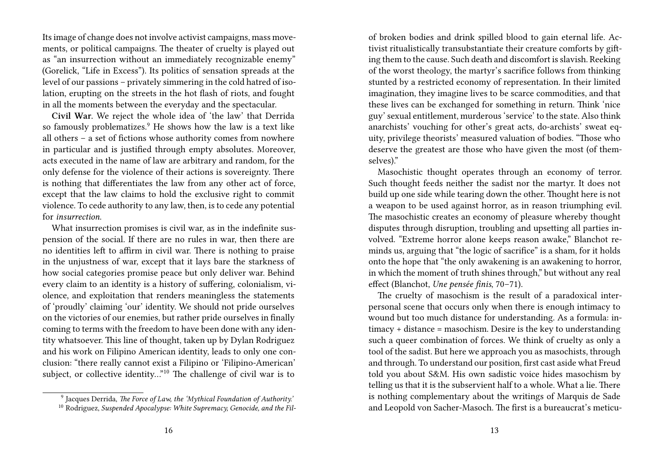Its image of change does not involve activist campaigns, mass movements, or political campaigns. The theater of cruelty is played out as "an insurrection without an immediately recognizable enemy" (Gorelick, "Life in Excess"). Its politics of sensation spreads at the level of our passions – privately simmering in the cold hatred of isolation, erupting on the streets in the hot flash of riots, and fought in all the moments between the everyday and the spectacular.

**Civil War.** We reject the whole idea of 'the law' that Derrida so famously problematizes.<sup>9</sup> He shows how the law is a text like all others – a set of fictions whose authority comes from nowhere in particular and is justified through empty absolutes. Moreover, acts executed in the name of law are arbitrary and random, for the only defense for the violence of their actions is sovereignty. There is nothing that differentiates the law from any other act of force, except that the law claims to hold the exclusive right to commit violence. To cede authority to any law, then, is to cede any potential for *insurrection*.

What insurrection promises is civil war, as in the indefinite suspension of the social. If there are no rules in war, then there are no identities left to affirm in civil war. There is nothing to praise in the unjustness of war, except that it lays bare the starkness of how social categories promise peace but only deliver war. Behind every claim to an identity is a history of suffering, colonialism, violence, and exploitation that renders meaningless the statements of 'proudly' claiming 'our' identity. We should not pride ourselves on the victories of our enemies, but rather pride ourselves in finally coming to terms with the freedom to have been done with any identity whatsoever. This line of thought, taken up by Dylan Rodriguez and his work on Filipino American identity, leads to only one conclusion: "there really cannot exist a Filipino or 'Filipino-American' subject, or collective identity…"<sup>10</sup> The challenge of civil war is to

of broken bodies and drink spilled blood to gain eternal life. Activist ritualistically transubstantiate their creature comforts by gifting them to the cause. Such death and discomfort is slavish. Reeking of the worst theology, the martyr's sacrifice follows from thinking stunted by a restricted economy of representation. In their limited imagination, they imagine lives to be scarce commodities, and that these lives can be exchanged for something in return. Think 'nice guy' sexual entitlement, murderous 'service' to the state. Also think anarchists' vouching for other's great acts, do-archists' sweat equity, privilege theorists' measured valuation of bodies. "Those who deserve the greatest are those who have given the most (of themselves)."

Masochistic thought operates through an economy of terror. Such thought feeds neither the sadist nor the martyr. It does not build up one side while tearing down the other. Thought here is not a weapon to be used against horror, as in reason triumphing evil. The masochistic creates an economy of pleasure whereby thought disputes through disruption, troubling and upsetting all parties involved. "Extreme horror alone keeps reason awake," Blanchot reminds us, arguing that "the logic of sacrifice" is a sham, for it holds onto the hope that "the only awakening is an awakening to horror, in which the moment of truth shines through," but without any real effect (Blanchot, *Une pensée finis*, 70–71).

The cruelty of masochism is the result of a paradoxical interpersonal scene that occurs only when there is enough intimacy to wound but too much distance for understanding. As a formula: intimacy + distance = masochism. Desire is the key to understanding such a queer combination of forces. We think of cruelty as only a tool of the sadist. But here we approach you as masochists, through and through. To understand our position, first cast aside what Freud told you about S&M. His own sadistic voice hides masochism by telling us that it is the subservient half to a whole. What a lie. There is nothing complementary about the writings of Marquis de Sade and Leopold von Sacher-Masoch. The first is a bureaucrat's meticu-

<sup>9</sup> Jacques Derrida, *The Force of Law, the 'Mythical Foundation of Authority.'*

<sup>10</sup> Rodriguez, *Suspended Apocalypse: White Supremacy, Genocide, and the Fil-*